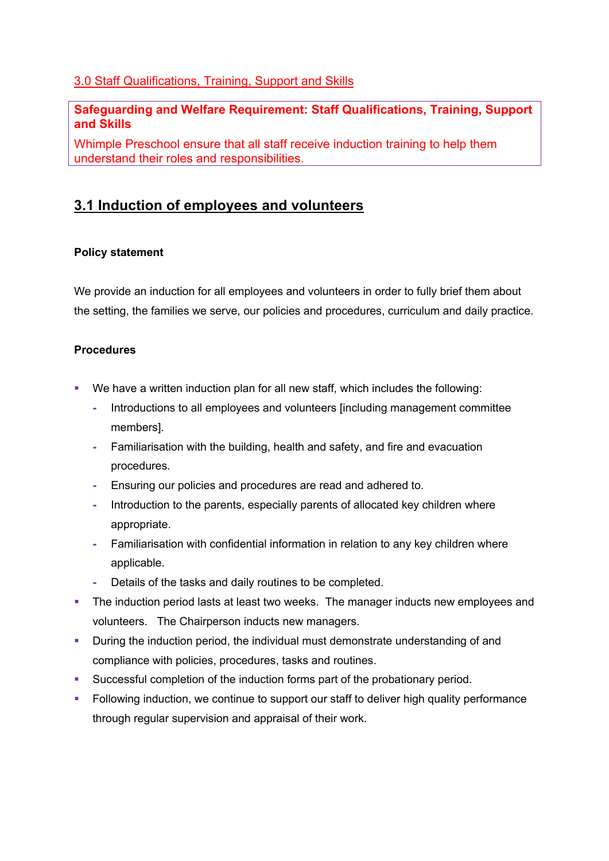## 3.0 Staff Qualifications, Training, Support and Skills

### **Safeguarding and Welfare Requirement: Staff Qualifications, Training, Support and Skills**

Whimple Preschool ensure that all staff receive induction training to help them understand their roles and responsibilities.

# **3.1 Induction of employees and volunteers**

### **Policy statement**

We provide an induction for all employees and volunteers in order to fully brief them about the setting, the families we serve, our policies and procedures, curriculum and daily practice.

### **Procedures**

- § We have a written induction plan for all new staff, which includes the following:
	- **-** Introductions to all employees and volunteers [including management committee members].
	- **-** Familiarisation with the building, health and safety, and fire and evacuation procedures.
	- **-** Ensuring our policies and procedures are read and adhered to.
	- **-** Introduction to the parents, especially parents of allocated key children where appropriate.
	- **-** Familiarisation with confidential information in relation to any key children where applicable.
	- **-** Details of the tasks and daily routines to be completed.
- The induction period lasts at least two weeks. The manager inducts new employees and volunteers. The Chairperson inducts new managers.
- **•** During the induction period, the individual must demonstrate understanding of and compliance with policies, procedures, tasks and routines.
- § Successful completion of the induction forms part of the probationary period.
- **•** Following induction, we continue to support our staff to deliver high quality performance through regular supervision and appraisal of their work.